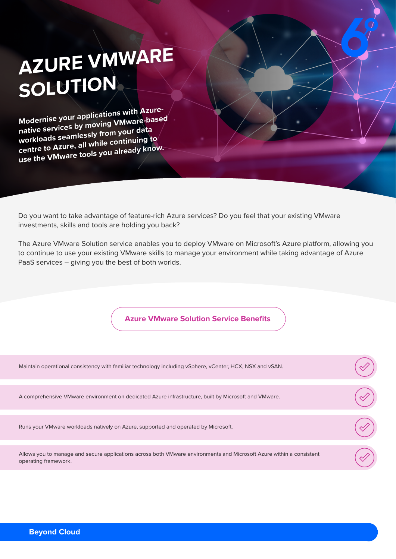## **AZURE VMWARE SOLUTION**

**Modernise your applications with Azurenative services by moving VMware-based workloads seamlessly from your data centre to Azure, all while continuing to use the VMware tools you already know.**

Do you want to take advantage of feature-rich Azure services? Do you feel that your existing VMware investments, skills and tools are holding you back?

The Azure VMware Solution service enables you to deploy VMware on Microsoft's Azure platform, allowing you to continue to use your existing VMware skills to manage your environment while taking advantage of Azure PaaS services – giving you the best of both worlds.

**Azure VMware Solution Service Benefits**